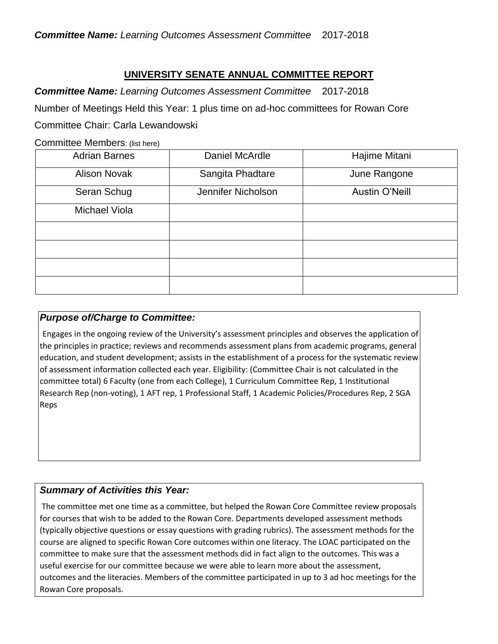## **UNIVERSITY SENATE ANNUAL COMMITTEE REPORT**

*Committee Name: Learning Outcomes Assessment Committee* 2017-2018 Number of Meetings Held this Year: 1 plus time on ad-hoc committees for Rowan Core Committee Chair: Carla Lewandowski

Committee Members: (list here)

| <b>Adrian Barnes</b> | Daniel McArdle     | Hajime Mitani  |
|----------------------|--------------------|----------------|
| <b>Alison Novak</b>  | Sangita Phadtare   | June Rangone   |
| Seran Schug          | Jennifer Nicholson | Austin O'Neill |
| Michael Viola        |                    |                |
|                      |                    |                |
|                      |                    |                |
|                      |                    |                |
|                      |                    |                |

#### *Purpose of/Charge to Committee:*

Engages in the ongoing review of the University's assessment principles and observes the application of the principles in practice; reviews and recommends assessment plans from academic programs, general education, and student development; assists in the establishment of a process for the systematic review of assessment information collected each year. Eligibility: (Committee Chair is not calculated in the committee total) 6 Faculty (one from each College), 1 Curriculum Committee Rep, 1 Institutional Research Rep (non-voting), 1 AFT rep, 1 Professional Staff, 1 Academic Policies/Procedures Rep, 2 SGA Reps

### *Summary of Activities this Year:*

The committee met one time as a committee, but helped the Rowan Core Committee review proposals for courses that wish to be added to the Rowan Core. Departments developed assessment methods (typically objective questions or essay questions with grading rubrics). The assessment methods for the course are aligned to specific Rowan Core outcomes within one literacy. The LOAC participated on the committee to make sure that the assessment methods did in fact align to the outcomes. This was a useful exercise for our committee because we were able to learn more about the assessment, outcomes and the literacies. Members of the committee participated in up to 3 ad hoc meetings for the Rowan Core proposals.